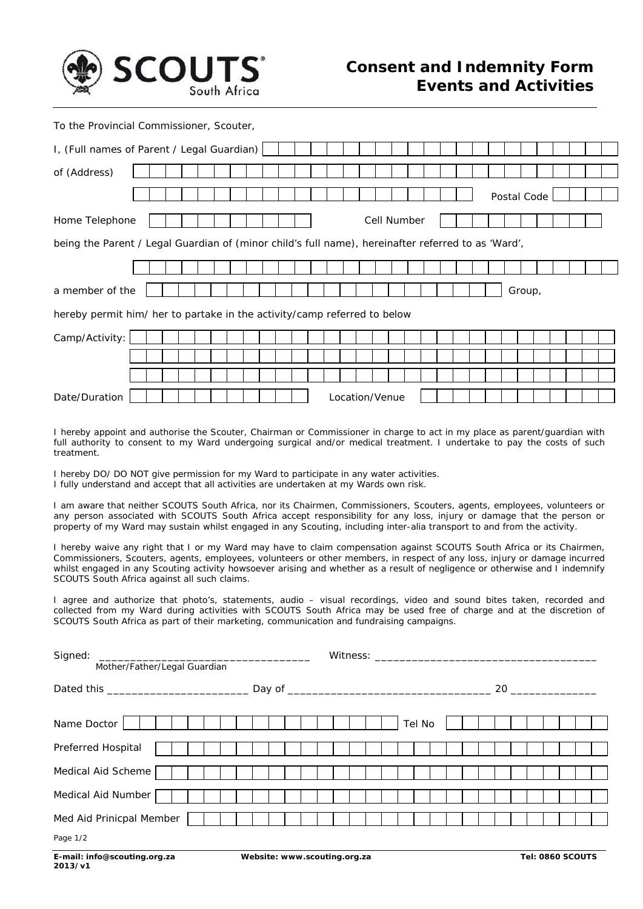

To the Provincial Commissioner, Scouter,

| I, (Full names of Parent / Legal Guardian)                                                         |  |  |  |  |  |  |  |  |  |  |  |  |  |  |
|----------------------------------------------------------------------------------------------------|--|--|--|--|--|--|--|--|--|--|--|--|--|--|
| of (Address)                                                                                       |  |  |  |  |  |  |  |  |  |  |  |  |  |  |
| Postal Code                                                                                        |  |  |  |  |  |  |  |  |  |  |  |  |  |  |
| Cell Number<br>Home Telephone                                                                      |  |  |  |  |  |  |  |  |  |  |  |  |  |  |
| being the Parent / Legal Guardian of (minor child's full name), hereinafter referred to as 'Ward', |  |  |  |  |  |  |  |  |  |  |  |  |  |  |
|                                                                                                    |  |  |  |  |  |  |  |  |  |  |  |  |  |  |
| a member of the<br>Group,                                                                          |  |  |  |  |  |  |  |  |  |  |  |  |  |  |
| hereby permit him/ her to partake in the activity/camp referred to below                           |  |  |  |  |  |  |  |  |  |  |  |  |  |  |
| Camp/Activity:                                                                                     |  |  |  |  |  |  |  |  |  |  |  |  |  |  |
|                                                                                                    |  |  |  |  |  |  |  |  |  |  |  |  |  |  |
|                                                                                                    |  |  |  |  |  |  |  |  |  |  |  |  |  |  |
| Date/Duration<br>Location/Venue                                                                    |  |  |  |  |  |  |  |  |  |  |  |  |  |  |

I hereby appoint and authorise the Scouter, Chairman or Commissioner in charge to act in my place as parent/guardian with full authority to consent to my Ward undergoing surgical and/or medical treatment. I undertake to pay the costs of such treatment.

I hereby DO/ DO NOT give permission for my Ward to participate in any water activities. I fully understand and accept that all activities are undertaken at my Wards own risk.

I am aware that neither SCOUTS South Africa, nor its Chairmen, Commissioners, Scouters, agents, employees, volunteers or any person associated with SCOUTS South Africa accept responsibility for any loss, injury or damage that the person or property of my Ward may sustain whilst engaged in any Scouting, including *inter-alia* transport to and from the activity.

I hereby waive any right that I or my Ward may have to claim compensation against SCOUTS South Africa or its Chairmen, Commissioners, Scouters, agents, employees, volunteers or other members, in respect of any loss, injury or damage incurred whilst engaged in any Scouting activity howsoever arising and whether as a result of negligence or otherwise and I indemnify SCOUTS South Africa against all such claims.

I agree and authorize that photo's, statements, audio – visual recordings, video and sound bites taken, recorded and collected from my Ward during activities with SCOUTS South Africa may be used free of charge and at the discretion of SCOUTS South Africa as part of their marketing, communication and fundraising campaigns.

| Signed:<br>Witness: _______________________<br>Mother/Father/Legal Guardian |  |        |  |  |  |  |  |  |  |  |  |  |  |  |
|-----------------------------------------------------------------------------|--|--------|--|--|--|--|--|--|--|--|--|--|--|--|
|                                                                             |  | 20     |  |  |  |  |  |  |  |  |  |  |  |  |
| Name Doctor                                                                 |  | Tel No |  |  |  |  |  |  |  |  |  |  |  |  |
| Preferred Hospital                                                          |  |        |  |  |  |  |  |  |  |  |  |  |  |  |
| Medical Aid Scheme                                                          |  |        |  |  |  |  |  |  |  |  |  |  |  |  |
| Medical Aid Number                                                          |  |        |  |  |  |  |  |  |  |  |  |  |  |  |
| Med Aid Prinicpal Member<br>Page 1/2                                        |  |        |  |  |  |  |  |  |  |  |  |  |  |  |